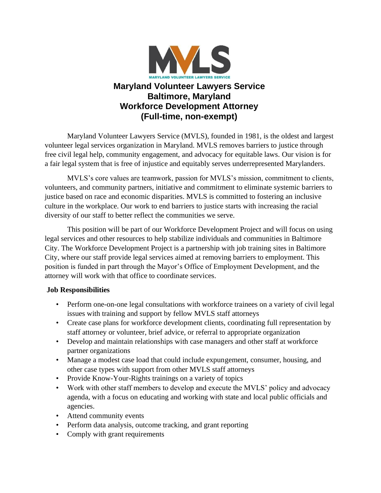

# **Maryland Volunteer Lawyers Service Baltimore, Maryland Workforce Development Attorney (Full-time, non-exempt)**

Maryland Volunteer Lawyers Service (MVLS), founded in 1981, is the oldest and largest volunteer legal services organization in Maryland. MVLS removes barriers to justice through free civil legal help, community engagement, and advocacy for equitable laws. Our vision is for a fair legal system that is free of injustice and equitably serves underrepresented Marylanders.

MVLS's core values are teamwork, passion for MVLS's mission, commitment to clients, volunteers, and community partners, initiative and commitment to eliminate systemic barriers to justice based on race and economic disparities. MVLS is committed to fostering an inclusive culture in the workplace. Our work to end barriers to justice starts with increasing the racial diversity of our staff to better reflect the communities we serve.

This position will be part of our Workforce Development Project and will focus on using legal services and other resources to help stabilize individuals and communities in Baltimore City. The Workforce Development Project is a partnership with job training sites in Baltimore City, where our staff provide legal services aimed at removing barriers to employment. This position is funded in part through the Mayor's Office of Employment Development, and the attorney will work with that office to coordinate services.

## **Job Responsibilities**

- Perform one-on-one legal consultations with workforce trainees on a variety of civil legal issues with training and support by fellow MVLS staff attorneys
- Create case plans for workforce development clients, coordinating full representation by staff attorney or volunteer, brief advice, or referral to appropriate organization
- Develop and maintain relationships with case managers and other staff at workforce partner organizations
- Manage a modest case load that could include expungement, consumer, housing, and other case types with support from other MVLS staff attorneys
- Provide Know-Your-Rights trainings on a variety of topics
- Work with other staff members to develop and execute the MVLS' policy and advocacy agenda, with a focus on educating and working with state and local public officials and agencies.
- Attend community events
- Perform data analysis, outcome tracking, and grant reporting
- Comply with grant requirements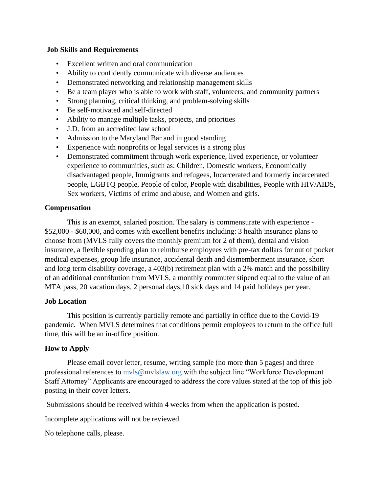### **Job Skills and Requirements**

- Excellent written and oral communication
- Ability to confidently communicate with diverse audiences
- Demonstrated networking and relationship management skills
- Be a team player who is able to work with staff, volunteers, and community partners
- Strong planning, critical thinking, and problem-solving skills
- Be self-motivated and self-directed
- Ability to manage multiple tasks, projects, and priorities
- J.D. from an accredited law school
- Admission to the Maryland Bar and in good standing
- Experience with nonprofits or legal services is a strong plus
- Demonstrated commitment through work experience, lived experience, or volunteer experience to communities, such as: Children, Domestic workers, Economically disadvantaged people, Immigrants and refugees, Incarcerated and formerly incarcerated people, LGBTQ people, People of color, People with disabilities, People with HIV/AIDS, Sex workers, Victims of crime and abuse, and Women and girls.

### **Compensation**

This is an exempt, salaried position. The salary is commensurate with experience - \$52,000 - \$60,000, and comes with excellent benefits including: 3 health insurance plans to choose from (MVLS fully covers the monthly premium for 2 of them), dental and vision insurance, a flexible spending plan to reimburse employees with pre-tax dollars for out of pocket medical expenses, group life insurance, accidental death and dismemberment insurance, short and long term disability coverage, a 403(b) retirement plan with a 2% match and the possibility of an additional contribution from MVLS, a monthly commuter stipend equal to the value of an MTA pass, 20 vacation days, 2 personal days,10 sick days and 14 paid holidays per year.

### **Job Location**

This position is currently partially remote and partially in office due to the Covid-19 pandemic. When MVLS determines that conditions permit employees to return to the office full time, this will be an in-office position.

### **How to Apply**

Please email cover letter, resume, writing sample (no more than 5 pages) and three professional references to  $mvls@mvlslaw.org$  with the subject line "Workforce Development" Staff Attorney" Applicants are encouraged to address the core values stated at the top of this job posting in their cover letters.

Submissions should be received within 4 weeks from when the application is posted.

Incomplete applications will not be reviewed

No telephone calls, please.